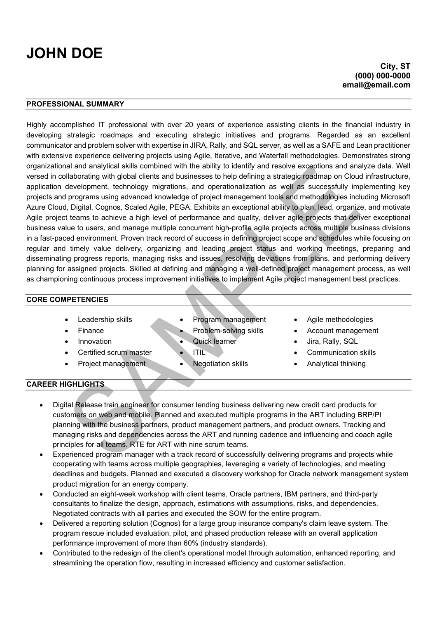# JOHN DOE

## PROFESSIONAL SUMMARY

Highly accomplished IT professional with over 20 years of experience assisting clients in the financial industry in developing strategic roadmaps and executing strategic initiatives and programs. Regarded as an excellent communicator and problem solver with expertise in JIRA, Rally, and SQL server, as well as a SAFE and Lean practitioner with extensive experience delivering projects using Agile, Iterative, and Waterfall methodologies. Demonstrates strong organizational and analytical skills combined with the ability to identify and resolve exceptions and analyze data. Well versed in collaborating with global clients and businesses to help defining a strategic roadmap on Cloud infrastructure, application development, technology migrations, and operationalization as well as successfully implementing key projects and programs using advanced knowledge of project management tools and methodologies including Microsoft Azure Cloud, Digital, Cognos, Scaled Agile, PEGA. Exhibits an exceptional ability to plan, lead, organize, and motivate Agile project teams to achieve a high level of performance and quality, deliver agile projects that deliver exceptional business value to users, and manage multiple concurrent high-profile agile projects across multiple business divisions in a fast-paced environment. Proven track record of success in defining project scope and schedules while focusing on regular and timely value delivery, organizing and leading project status and working meetings, preparing and disseminating progress reports, managing risks and issues, resolving deviations from plans, and performing delivery planning for assigned projects. Skilled at defining and managing a well-defined project management process, as well as championing continuous process improvement initiatives to implement Agile project management best practices.

#### CORE COMPETENCIES

- 
- 
- 
- 
- 
- Leadership skills **Company Company** Program management **Agile methodologies**
- Finance **Containing Problem-solving skills Account management** 
	- -
	-
- 
- 
- Innovation Guick learner Jira, Rally, SQL
	- Certified scrum master **COMMUNICATE:** ITIL **COMMUNICATE:** Communication skills
	- Project management **•** Negotiation skills **•** Analytical thinking

#### CAREER HIGHLIGHTS

- Digital Release train engineer for consumer lending business delivering new credit card products for customers on web and mobile. Planned and executed multiple programs in the ART including BRP/PI planning with the business partners, product management partners, and product owners. Tracking and managing risks and dependencies across the ART and running cadence and influencing and coach agile principles for all teams. RTE for ART with nine scrum teams.
- Experienced program manager with a track record of successfully delivering programs and projects while cooperating with teams across multiple geographies, leveraging a variety of technologies, and meeting deadlines and budgets. Planned and executed a discovery workshop for Oracle network management system product migration for an energy company.
- Conducted an eight-week workshop with client teams, Oracle partners, IBM partners, and third-party consultants to finalize the design, approach, estimations with assumptions, risks, and dependencies. Negotiated contracts with all parties and executed the SOW for the entire program.
- Delivered a reporting solution (Cognos) for a large group insurance company's claim leave system. The program rescue included evaluation, pilot, and phased production release with an overall application performance improvement of more than 60% (industry standards).
- Contributed to the redesign of the client's operational model through automation, enhanced reporting, and streamlining the operation flow, resulting in increased efficiency and customer satisfaction.